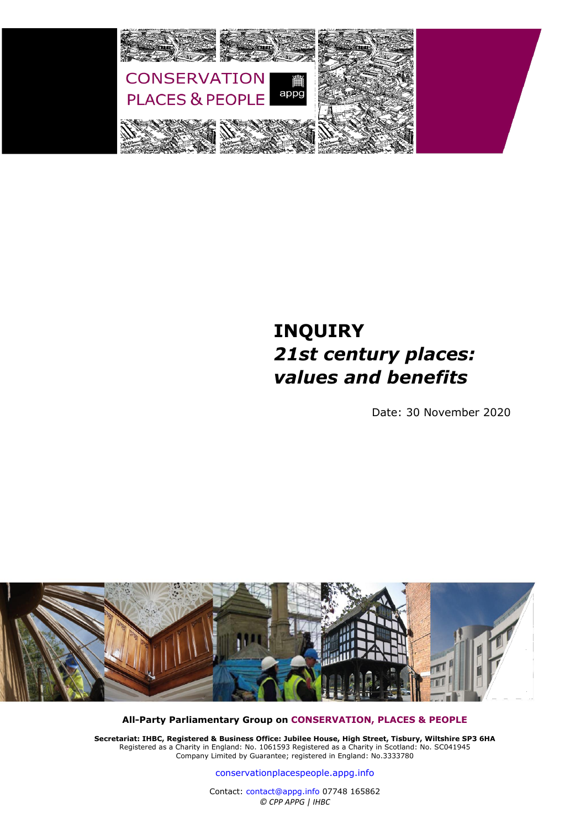

## **INQUIRY** *21st century places: values and benefits*

Date: 30 November 2020



**All-Party Parliamentary Group on [CONSERVATION, PLACES & PEOPLE](https://conservationplacespeople.appg.info/)**

**Secretariat: IHBC, Registered & Business Office: Jubilee House, High Street, Tisbury, Wiltshire SP3 6HA** Registered as a Charity in England: No. 1061593 Registered as a Charity in Scotland: No. SC041945 Company Limited by Guarantee; registered in England: No.3333780

co[nservationplacespeople.appg.in](https://conservationplacespeople.appg.info/)fo

Contact: [contact@appg.info](mailto:contact@appg.info) 07748 165862 *© CPP APPG | IHBC*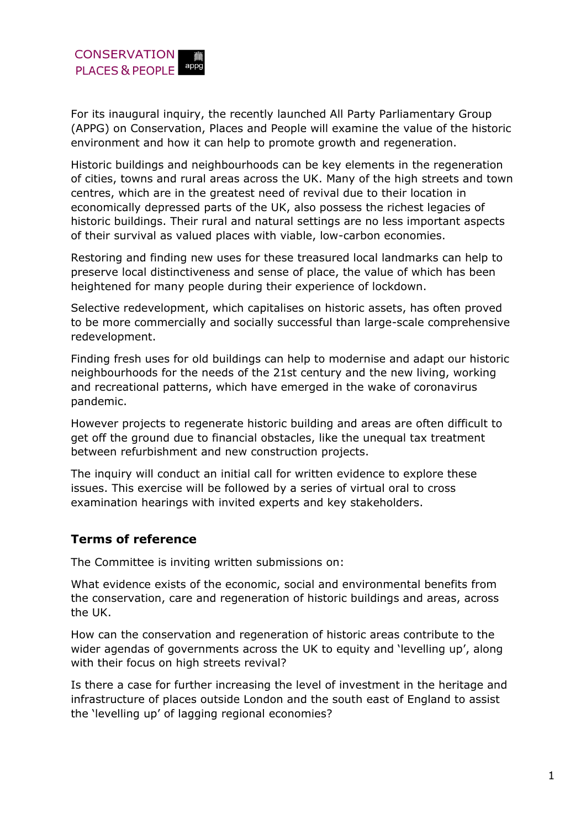For its inaugural inquiry, the recently launched All Party Parliamentary Group (APPG) on Conservation, Places and People will examine the value of the historic environment and how it can help to promote growth and regeneration.

Historic buildings and neighbourhoods can be key elements in the regeneration of cities, towns and rural areas across the UK. Many of the high streets and town centres, which are in the greatest need of revival due to their location in economically depressed parts of the UK, also possess the richest legacies of historic buildings. Their rural and natural settings are no less important aspects of their survival as valued places with viable, low-carbon economies.

Restoring and finding new uses for these treasured local landmarks can help to preserve local distinctiveness and sense of place, the value of which has been heightened for many people during their experience of lockdown.

Selective redevelopment, which capitalises on historic assets, has often proved to be more commercially and socially successful than large-scale comprehensive redevelopment.

Finding fresh uses for old buildings can help to modernise and adapt our historic neighbourhoods for the needs of the 21st century and the new living, working and recreational patterns, which have emerged in the wake of coronavirus pandemic.

However projects to regenerate historic building and areas are often difficult to get off the ground due to financial obstacles, like the unequal tax treatment between refurbishment and new construction projects.

The inquiry will conduct an initial call for written evidence to explore these issues. This exercise will be followed by a series of virtual oral to cross examination hearings with invited experts and key stakeholders.

## **Terms of reference**

The Committee is inviting written submissions on:

What evidence exists of the economic, social and environmental benefits from the conservation, care and regeneration of historic buildings and areas, across the UK.

How can the conservation and regeneration of historic areas contribute to the wider agendas of governments across the UK to equity and 'levelling up', along with their focus on high streets revival?

Is there a case for further increasing the level of investment in the heritage and infrastructure of places outside London and the south east of England to assist the 'levelling up' of lagging regional economies?